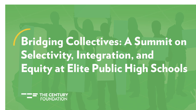# **Bridging Collectives: A Summit on** Selectivity, Integration, and **Equity at Elite Public High Schools**

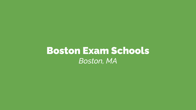### Boston Exam Schools *Boston, MA*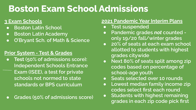### **Boston Exam School Admissions**

#### **3 Exam Schools**

- **Boston Latin School**
- **Boston Latin Academy**
- **O'Bryant Sch. of Math & Science**

#### **Prior System - Test & Grades**

- **Test (50% of admissions score): Independent Schools Entrance Exam (ISEE), a test for private schools not normed to state standards or BPS curriculum**
- **Grades (50% of admissions score)**

#### **2021 Pandemic Year Interim Plans**

- **Test suspended**
- **Pandemic grades** *not* **counted only 19/20 fall/winter grades**
- **20% of seats at each exam school allotted to students with highest grades citywide**
- **Next 80% of seats split among zip codes based on percentage of school-age youth**
- **Seats selected over 10 rounds**
- **Lowest median family income zip codes select first each round**
- **Students with highest remaining grades in each zip code pick first**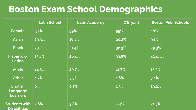### **Boston Exam School Demographics**

|                                                   | <b>Latin School</b> | <b>Latin Academy</b> | O'Bryant | <b>Boston Pub. Schools</b> |  |
|---------------------------------------------------|---------------------|----------------------|----------|----------------------------|--|
| <b>Female</b>                                     | 52%                 | 59%                  | 55%      | 48%                        |  |
| <b>Asian</b>                                      | 29.3%               | 18.8%                | 20.2%    | 9.1%                       |  |
| <b>Black</b>                                      | 7.7%                | 21.4%                | 32.3%    | 29.3%                      |  |
| <b>Hispanic or</b><br>Latino                      | 13.4%               | 26.4%                | 33.8%    | 42.4%%                     |  |
| <b>White</b>                                      | 44.5%               | 29.7%                | 11.7%    | 15.3%                      |  |
| <b>Other</b>                                      | 4.7%                | 3.5%                 | 1.6%     | 3.4%                       |  |
| <b>English</b><br>Language<br><b>Learners</b>     | $0\%$               | 0.1%                 | 1.3%     | 29.2%                      |  |
| Students with $\vert$ 2.6%<br><b>Disabilities</b> |                     | 3.8%                 | 4.4%     | 21.5%                      |  |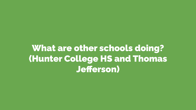What are other schools doing? (Hunter College HS and Thomas Jefferson)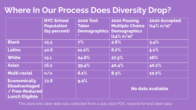### **Where In Our Process Does Diversity Drop?**

|                       | <b>NYC School</b> | <b>2020 Test</b>    | 2020 Passing             | 2020 Accepted  |  |
|-----------------------|-------------------|---------------------|--------------------------|----------------|--|
|                       | <b>Population</b> | <b>Taker</b>        | <b>Multiple Choice</b>   | $(14\% n/a)^*$ |  |
|                       | (by percent)      | <b>Demographics</b> | <b>Demographics</b>      |                |  |
|                       |                   |                     | $(14\% n/a)^*$           |                |  |
| <b>Black</b>          | 25.5              | 7%                  | 2.6%                     | 3.4%           |  |
| <b>Latinx</b>         | 40.6              | 11.2%               | 6.7%                     | 5.1%           |  |
| <b>White</b>          | 15.1              | 24.6%               | 27.5%                    | 26%            |  |
| <b>Asian</b>          | 16.2              | 39.4%               | 40.4%                    | 40.1%          |  |
| <b>Multi-racial</b>   | n/a               | 6.1%                | 8.3%                     | 10.7%          |  |
| <b>Economically</b>   | 72.8              | 9.2%                |                          |                |  |
| <b>Disadvantaged</b>  |                   |                     |                          |                |  |
| / Free-Reduced        |                   |                     | <b>No data available</b> |                |  |
| <b>Lunch Eligible</b> |                   |                     |                          |                |  |

\*This 2020 test taker data was collected from a July 2020 FOIL request for test taker data.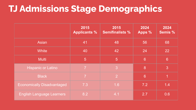### **TJ Admissions Stage Demographics**

|                                   | 2015<br><b>Applicants %</b> | 2015<br><b>Semifinalists %</b> | 2024<br>Apps %  | 2024<br><b>Semis %</b> |
|-----------------------------------|-----------------------------|--------------------------------|-----------------|------------------------|
| <b>Asian</b>                      | 41                          | 48                             | 56              | 68                     |
| <b>White</b>                      | 40                          | 42                             | 24              | 22                     |
| <b>Multi</b>                      | 5                           | $5\overline{)}$                | $6\overline{6}$ | $6\phantom{a}$         |
| <b>Hispanic or Latino</b>         | $\overline{7}$              | 3                              | 8               | 3                      |
| <b>Black</b>                      | $\overline{7}$              | $\overline{2}$                 | $6\phantom{1}$  | 1                      |
| <b>Economically Disadvantaged</b> | 7.3                         | 1.6                            | 7.2             | 1.4                    |
| <b>English Language Learners</b>  | 8.2                         | 4.1                            | 2.7             | 0.6                    |